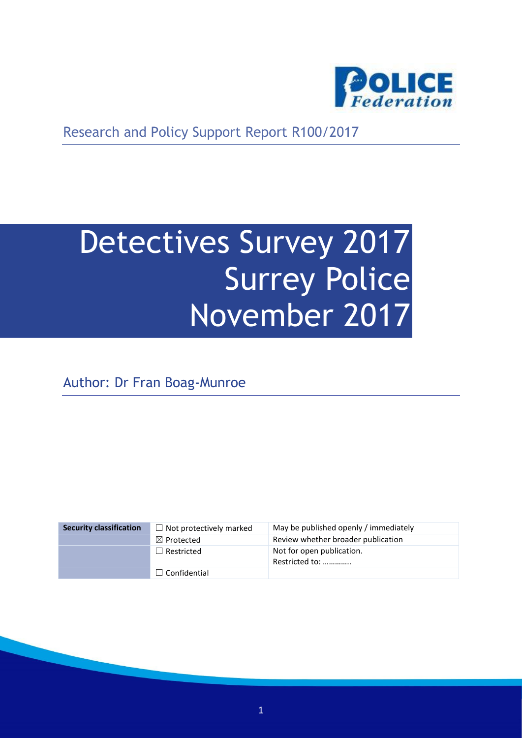

Research and Policy Support Report R100/2017

# Detectives Survey 2017 Surrey Police November 2017

Author: Dr Fran Boag-Munroe

| <b>Security classification</b> | $\Box$ Not protectively marked | May be published openly / immediately       |
|--------------------------------|--------------------------------|---------------------------------------------|
|                                | $\boxtimes$ Protected          | Review whether broader publication          |
|                                | $\Box$ Restricted              | Not for open publication.<br>Restricted to: |
|                                | $\Box$ Confidential            |                                             |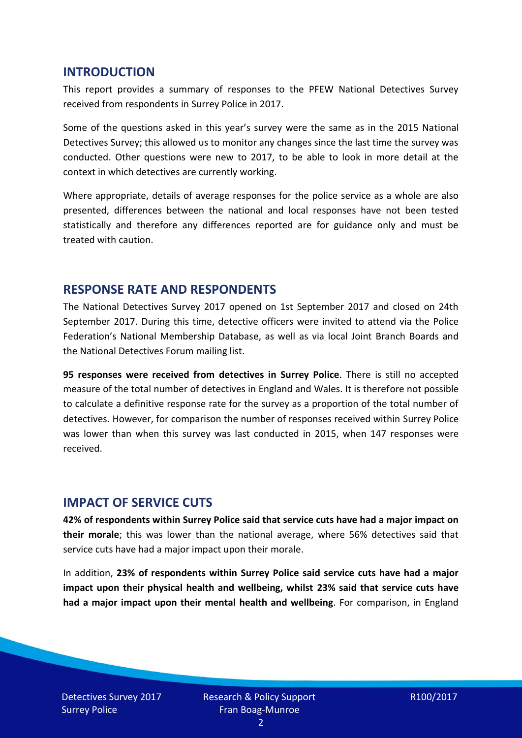#### **INTRODUCTION**

This report provides a summary of responses to the PFEW National Detectives Survey received from respondents in Surrey Police in 2017.

Some of the questions asked in this year's survey were the same as in the 2015 National Detectives Survey; this allowed us to monitor any changes since the last time the survey was conducted. Other questions were new to 2017, to be able to look in more detail at the context in which detectives are currently working.

Where appropriate, details of average responses for the police service as a whole are also presented, differences between the national and local responses have not been tested statistically and therefore any differences reported are for guidance only and must be treated with caution.

#### **RESPONSE RATE AND RESPONDENTS**

The National Detectives Survey 2017 opened on 1st September 2017 and closed on 24th September 2017. During this time, detective officers were invited to attend via the Police Federation's National Membership Database, as well as via local Joint Branch Boards and the National Detectives Forum mailing list.

**95 responses were received from detectives in Surrey Police**. There is still no accepted measure of the total number of detectives in England and Wales. It is therefore not possible to calculate a definitive response rate for the survey as a proportion of the total number of detectives. However, for comparison the number of responses received within Surrey Police was lower than when this survey was last conducted in 2015, when 147 responses were received.

#### **IMPACT OF SERVICE CUTS**

**42% of respondents within Surrey Police said that service cuts have had a major impact on their morale**; this was lower than the national average, where 56% detectives said that service cuts have had a major impact upon their morale.

In addition, **23% of respondents within Surrey Police said service cuts have had a major impact upon their physical health and wellbeing, whilst 23% said that service cuts have had a major impact upon their mental health and wellbeing**. For comparison, in England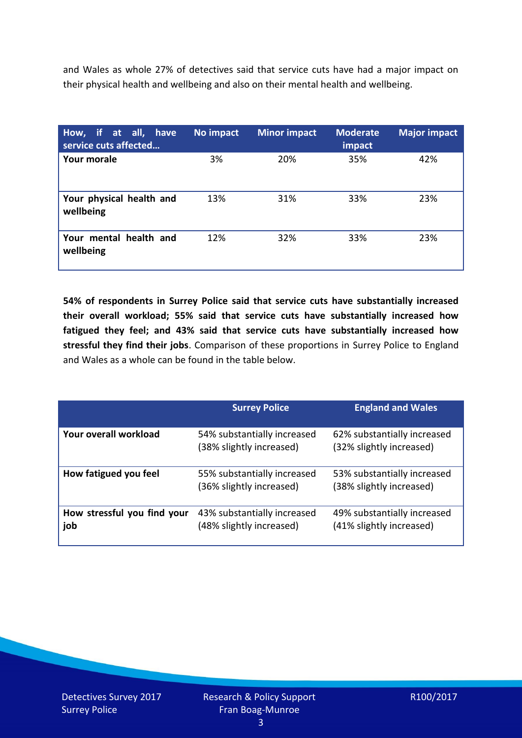and Wales as whole 27% of detectives said that service cuts have had a major impact on their physical health and wellbeing and also on their mental health and wellbeing.

| How, if at all, have<br>service cuts affected | No impact | <b>Minor impact</b> | <b>Moderate</b><br>impact | <b>Major impact</b> |
|-----------------------------------------------|-----------|---------------------|---------------------------|---------------------|
| Your morale                                   | 3%        | 20%                 | 35%                       | 42%                 |
| Your physical health and<br>wellbeing         | 13%       | 31%                 | 33%                       | 23%                 |
| Your mental health and<br>wellbeing           | 12%       | 32%                 | 33%                       | 23%                 |

**54% of respondents in Surrey Police said that service cuts have substantially increased their overall workload; 55% said that service cuts have substantially increased how fatigued they feel; and 43% said that service cuts have substantially increased how stressful they find their jobs**. Comparison of these proportions in Surrey Police to England and Wales as a whole can be found in the table below.

|                                    | <b>Surrey Police</b>                                    | <b>England and Wales</b>                                |
|------------------------------------|---------------------------------------------------------|---------------------------------------------------------|
| Your overall workload              | 54% substantially increased<br>(38% slightly increased) | 62% substantially increased<br>(32% slightly increased) |
| How fatigued you feel              | 55% substantially increased<br>(36% slightly increased) | 53% substantially increased<br>(38% slightly increased) |
| How stressful you find your<br>job | 43% substantially increased<br>(48% slightly increased) | 49% substantially increased<br>(41% slightly increased) |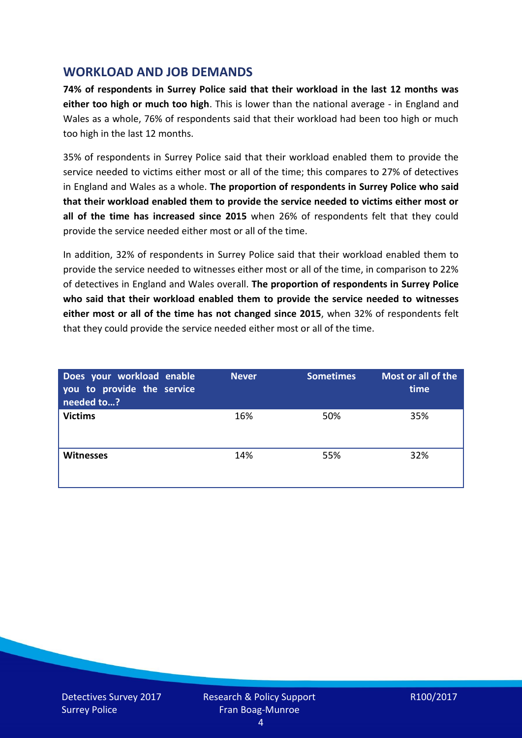## **WORKLOAD AND JOB DEMANDS**

**74% of respondents in Surrey Police said that their workload in the last 12 months was either too high or much too high**. This is lower than the national average - in England and Wales as a whole, 76% of respondents said that their workload had been too high or much too high in the last 12 months.

35% of respondents in Surrey Police said that their workload enabled them to provide the service needed to victims either most or all of the time; this compares to 27% of detectives in England and Wales as a whole. **The proportion of respondents in Surrey Police who said that their workload enabled them to provide the service needed to victims either most or all of the time has increased since 2015** when 26% of respondents felt that they could provide the service needed either most or all of the time.

In addition, 32% of respondents in Surrey Police said that their workload enabled them to provide the service needed to witnesses either most or all of the time, in comparison to 22% of detectives in England and Wales overall. **The proportion of respondents in Surrey Police who said that their workload enabled them to provide the service needed to witnesses either most or all of the time has not changed since 2015**, when 32% of respondents felt that they could provide the service needed either most or all of the time.

| Does your workload enable<br>you to provide the service<br>needed to? | <b>Never</b> | <b>Sometimes</b> | Most or all of the<br>time |
|-----------------------------------------------------------------------|--------------|------------------|----------------------------|
| <b>Victims</b>                                                        | 16%          | 50%              | 35%                        |
| <b>Witnesses</b>                                                      | 14%          | 55%              | 32%                        |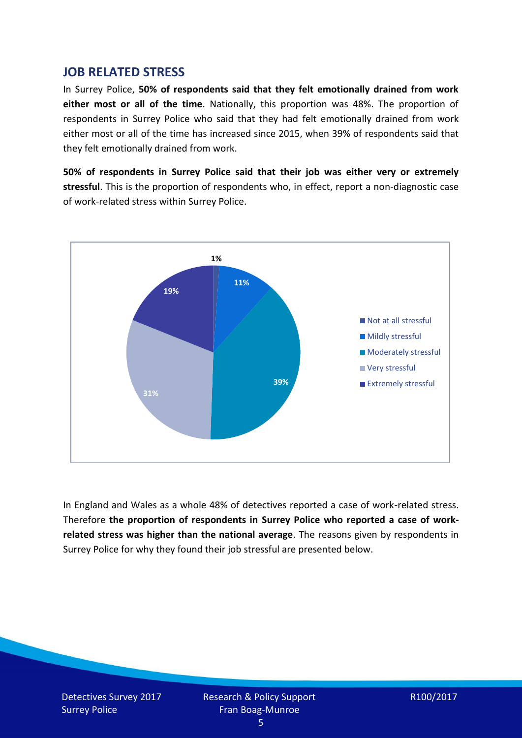### **JOB RELATED STRESS**

In Surrey Police, **50% of respondents said that they felt emotionally drained from work either most or all of the time**. Nationally, this proportion was 48%. The proportion of respondents in Surrey Police who said that they had felt emotionally drained from work either most or all of the time has increased since 2015, when 39% of respondents said that they felt emotionally drained from work.

**50% of respondents in Surrey Police said that their job was either very or extremely stressful**. This is the proportion of respondents who, in effect, report a non-diagnostic case of work-related stress within Surrey Police.



In England and Wales as a whole 48% of detectives reported a case of work-related stress. Therefore **the proportion of respondents in Surrey Police who reported a case of workrelated stress was higher than the national average**. The reasons given by respondents in Surrey Police for why they found their job stressful are presented below.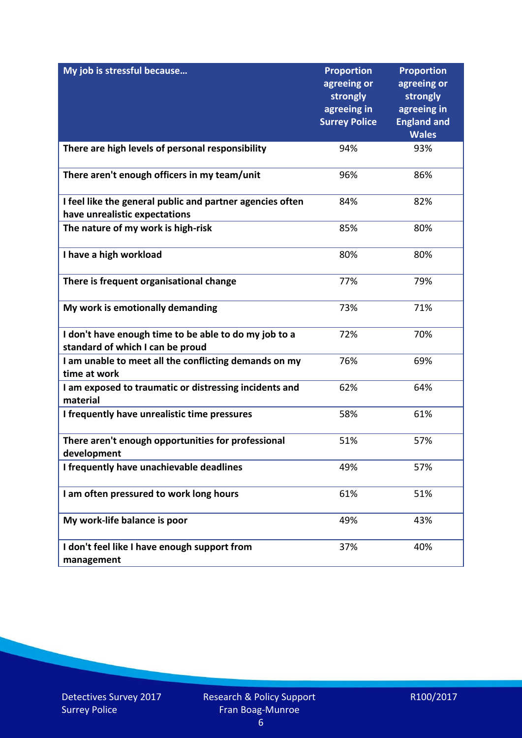| My job is stressful because                                                                | <b>Proportion</b><br>agreeing or<br>strongly<br>agreeing in<br><b>Surrey Police</b> | <b>Proportion</b><br>agreeing or<br>strongly<br>agreeing in<br><b>England and</b><br><b>Wales</b> |
|--------------------------------------------------------------------------------------------|-------------------------------------------------------------------------------------|---------------------------------------------------------------------------------------------------|
| There are high levels of personal responsibility                                           | 94%                                                                                 | 93%                                                                                               |
| There aren't enough officers in my team/unit                                               | 96%                                                                                 | 86%                                                                                               |
| I feel like the general public and partner agencies often<br>have unrealistic expectations | 84%                                                                                 | 82%                                                                                               |
| The nature of my work is high-risk                                                         | 85%                                                                                 | 80%                                                                                               |
| I have a high workload                                                                     | 80%                                                                                 | 80%                                                                                               |
| There is frequent organisational change                                                    | 77%                                                                                 | 79%                                                                                               |
| My work is emotionally demanding                                                           | 73%                                                                                 | 71%                                                                                               |
| I don't have enough time to be able to do my job to a<br>standard of which I can be proud  | 72%                                                                                 | 70%                                                                                               |
| I am unable to meet all the conflicting demands on my<br>time at work                      | 76%                                                                                 | 69%                                                                                               |
| I am exposed to traumatic or distressing incidents and<br>material                         | 62%                                                                                 | 64%                                                                                               |
| I frequently have unrealistic time pressures                                               | 58%                                                                                 | 61%                                                                                               |
| There aren't enough opportunities for professional<br>development                          | 51%                                                                                 | 57%                                                                                               |
| I frequently have unachievable deadlines                                                   | 49%                                                                                 | 57%                                                                                               |
| I am often pressured to work long hours                                                    | 61%                                                                                 | 51%                                                                                               |
| My work-life balance is poor                                                               | 49%                                                                                 | 43%                                                                                               |
| I don't feel like I have enough support from<br>management                                 | 37%                                                                                 | 40%                                                                                               |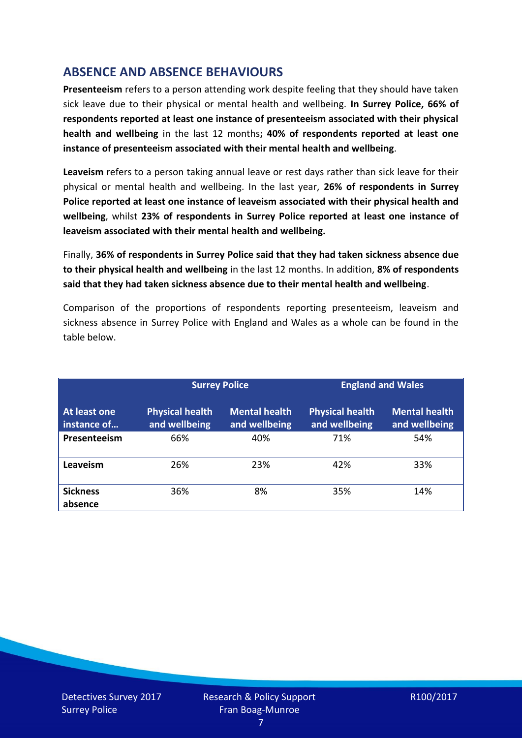# **ABSENCE AND ABSENCE BEHAVIOURS**

**Presenteeism** refers to a person attending work despite feeling that they should have taken sick leave due to their physical or mental health and wellbeing. **In Surrey Police, 66% of respondents reported at least one instance of presenteeism associated with their physical health and wellbeing** in the last 12 months**; 40% of respondents reported at least one instance of presenteeism associated with their mental health and wellbeing**.

**Leaveism** refers to a person taking annual leave or rest days rather than sick leave for their physical or mental health and wellbeing. In the last year, **26% of respondents in Surrey Police reported at least one instance of leaveism associated with their physical health and wellbeing**, whilst **23% of respondents in Surrey Police reported at least one instance of leaveism associated with their mental health and wellbeing.**

Finally, **36% of respondents in Surrey Police said that they had taken sickness absence due to their physical health and wellbeing** in the last 12 months. In addition, **8% of respondents said that they had taken sickness absence due to their mental health and wellbeing**.

Comparison of the proportions of respondents reporting presenteeism, leaveism and sickness absence in Surrey Police with England and Wales as a whole can be found in the table below.

|                             | <b>Surrey Police</b>                    |                                       | <b>England and Wales</b>                |                                       |
|-----------------------------|-----------------------------------------|---------------------------------------|-----------------------------------------|---------------------------------------|
| At least one<br>instance of | <b>Physical health</b><br>and wellbeing | <b>Mental health</b><br>and wellbeing | <b>Physical health</b><br>and wellbeing | <b>Mental health</b><br>and wellbeing |
| Presenteeism                | 66%                                     | 40%                                   | 71%                                     | 54%                                   |
| Leaveism                    | 26%                                     | 23%                                   | 42%                                     | 33%                                   |
| <b>Sickness</b><br>absence  | 36%                                     | 8%                                    | 35%                                     | 14%                                   |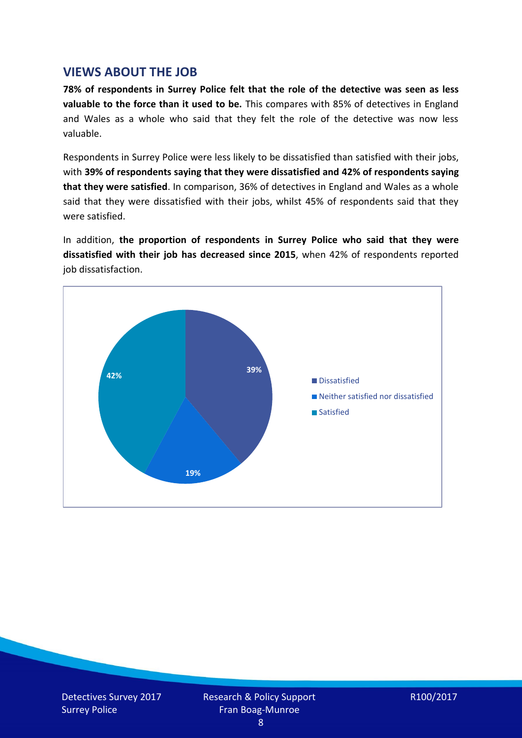## **VIEWS ABOUT THE JOB**

**78% of respondents in Surrey Police felt that the role of the detective was seen as less valuable to the force than it used to be.** This compares with 85% of detectives in England and Wales as a whole who said that they felt the role of the detective was now less valuable.

Respondents in Surrey Police were less likely to be dissatisfied than satisfied with their jobs, with **39% of respondents saying that they were dissatisfied and 42% of respondents saying that they were satisfied**. In comparison, 36% of detectives in England and Wales as a whole said that they were dissatisfied with their jobs, whilst 45% of respondents said that they were satisfied.

In addition, **the proportion of respondents in Surrey Police who said that they were dissatisfied with their job has decreased since 2015**, when 42% of respondents reported job dissatisfaction.

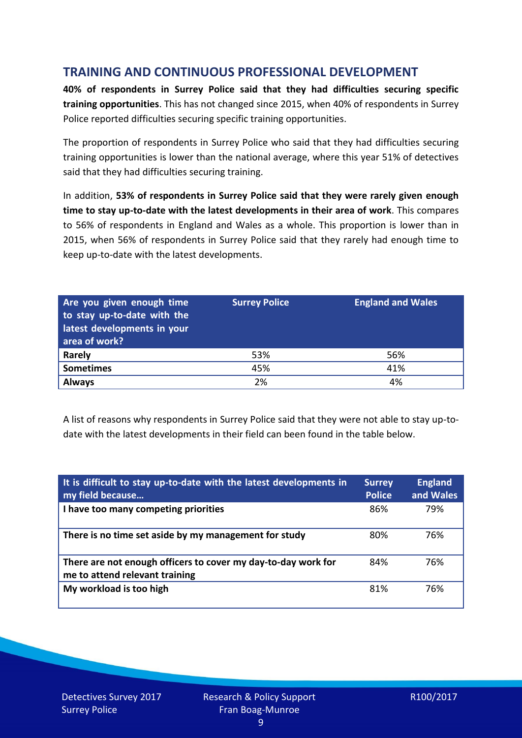# **TRAINING AND CONTINUOUS PROFESSIONAL DEVELOPMENT**

**40% of respondents in Surrey Police said that they had difficulties securing specific training opportunities**. This has not changed since 2015, when 40% of respondents in Surrey Police reported difficulties securing specific training opportunities.

The proportion of respondents in Surrey Police who said that they had difficulties securing training opportunities is lower than the national average, where this year 51% of detectives said that they had difficulties securing training.

In addition, **53% of respondents in Surrey Police said that they were rarely given enough time to stay up-to-date with the latest developments in their area of work**. This compares to 56% of respondents in England and Wales as a whole. This proportion is lower than in 2015, when 56% of respondents in Surrey Police said that they rarely had enough time to keep up-to-date with the latest developments.

| Are you given enough time<br>to stay up-to-date with the<br>latest developments in your<br>area of work? | <b>Surrey Police</b> | <b>England and Wales</b> |
|----------------------------------------------------------------------------------------------------------|----------------------|--------------------------|
| <b>Rarely</b>                                                                                            | 53%                  | 56%                      |
| <b>Sometimes</b>                                                                                         | 45%                  | 41%                      |
| <b>Always</b>                                                                                            | 2%                   | 4%                       |

A list of reasons why respondents in Surrey Police said that they were not able to stay up-todate with the latest developments in their field can been found in the table below.

| It is difficult to stay up-to-date with the latest developments in<br>my field because          | <b>Surrey</b><br><b>Police</b> | <b>England</b><br>and Wales |
|-------------------------------------------------------------------------------------------------|--------------------------------|-----------------------------|
| I have too many competing priorities                                                            | 86%                            | 79%                         |
| There is no time set aside by my management for study                                           | 80%                            | 76%                         |
| There are not enough officers to cover my day-to-day work for<br>me to attend relevant training | 84%                            | 76%                         |
| My workload is too high                                                                         | 81%                            | 76%                         |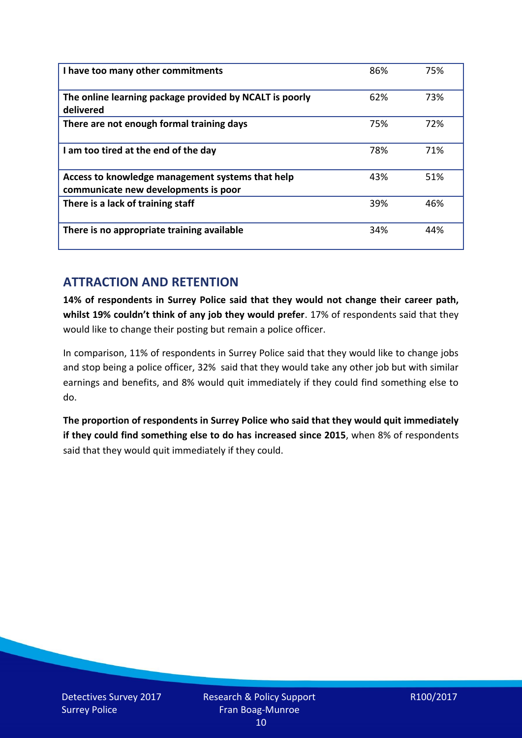| I have too many other commitments                                                        | 86% | 75% |
|------------------------------------------------------------------------------------------|-----|-----|
| The online learning package provided by NCALT is poorly<br>delivered                     | 62% | 73% |
| There are not enough formal training days                                                | 75% | 72% |
| I am too tired at the end of the day                                                     | 78% | 71% |
| Access to knowledge management systems that help<br>communicate new developments is poor | 43% | 51% |
| There is a lack of training staff                                                        | 39% | 46% |
| There is no appropriate training available                                               | 34% | 44% |

# **ATTRACTION AND RETENTION**

**14% of respondents in Surrey Police said that they would not change their career path, whilst 19% couldn't think of any job they would prefer**. 17% of respondents said that they would like to change their posting but remain a police officer.

In comparison, 11% of respondents in Surrey Police said that they would like to change jobs and stop being a police officer, 32% said that they would take any other job but with similar earnings and benefits, and 8% would quit immediately if they could find something else to do.

**The proportion of respondents in Surrey Police who said that they would quit immediately if they could find something else to do has increased since 2015**, when 8% of respondents said that they would quit immediately if they could.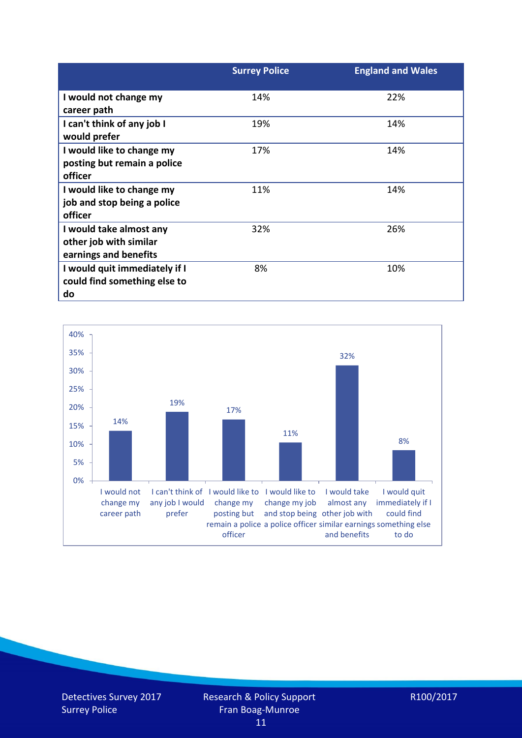|                                                                            | <b>Surrey Police</b> | <b>England and Wales</b> |
|----------------------------------------------------------------------------|----------------------|--------------------------|
| I would not change my<br>career path                                       | 14%                  | 22%                      |
| I can't think of any job I<br>would prefer                                 | 19%                  | 14%                      |
| I would like to change my<br>posting but remain a police<br>officer        | 17%                  | 14%                      |
| I would like to change my<br>job and stop being a police<br>officer        | 11%                  | 14%                      |
| I would take almost any<br>other job with similar<br>earnings and benefits | 32%                  | 26%                      |
| I would quit immediately if I<br>could find something else to<br>do        | 8%                   | 10%                      |